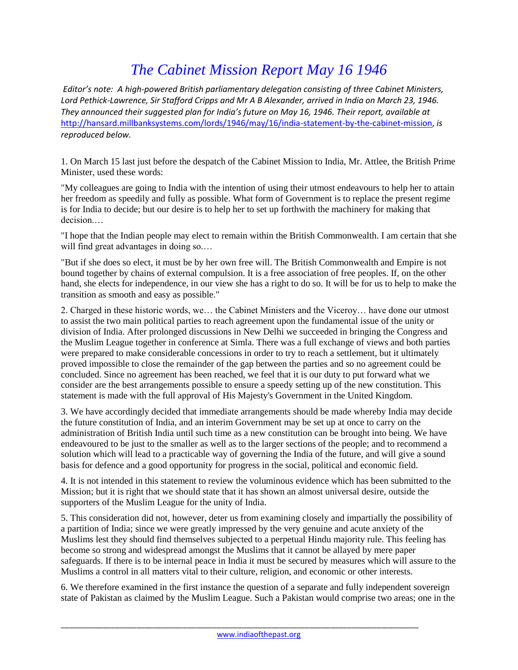# *The Cabinet Mission Report May 16 1946*

*Editor's note: A high-powered British parliamentary delegation consisting of three Cabinet Ministers, Lord Pethick-Lawrence, Sir Stafford Cripps and Mr A B Alexander, arrived in India on March 23, 1946. They announced their suggested plan for India's future on May 16, 1946. Their report, available at*  [http://hansard.millbanksystems.com/lords/1946/may/16/india-statement-by-the-cabinet-mission,](http://hansard.millbanksystems.com/lords/1946/may/16/india-statement-by-the-cabinet-mission) *is reproduced below.*

1. On March 15 last just before the despatch of the Cabinet Mission to India, Mr. Attlee, the British Prime Minister, used these words:

"My colleagues are going to India with the intention of using their utmost endeavours to help her to attain her freedom as speedily and fully as possible. What form of Government is to replace the present regime is for India to decide; but our desire is to help her to set up forthwith the machinery for making that decision.…

"I hope that the Indian people may elect to remain within the British Commonwealth. I am certain that she will find great advantages in doing so....

"But if she does so elect, it must be by her own free will. The British Commonwealth and Empire is not bound together by chains of external compulsion. It is a free association of free peoples. If, on the other hand, she elects for independence, in our view she has a right to do so. It will be for us to help to make the transition as smooth and easy as possible."

2. Charged in these historic words, we… the Cabinet Ministers and the Viceroy… have done our utmost to assist the two main political parties to reach agreement upon the fundamental issue of the unity or division of India. After prolonged discussions in New Delhi we succeeded in bringing the Congress and the Muslim League together in conference at Simla. There was a full exchange of views and both parties were prepared to make considerable concessions in order to try to reach a settlement, but it ultimately proved impossible to close the remainder of the gap between the parties and so no agreement could be concluded. Since no agreement has been reached, we feel that it is our duty to put forward what we consider are the best arrangements possible to ensure a speedy setting up of the new constitution. This statement is made with the full approval of His Majesty's Government in the United Kingdom.

3. We have accordingly decided that immediate arrangements should be made whereby India may decide the future constitution of India, and an interim Government may be set up at once to carry on the administration of British India until such time as a new constitution can be brought into being. We have endeavoured to be just to the smaller as well as to the larger sections of the people; and to recommend a solution which will lead to a practicable way of governing the India of the future, and will give a sound basis for defence and a good opportunity for progress in the social, political and economic field.

4. It is not intended in this statement to review the voluminous evidence which has been submitted to the Mission; but it is right that we should state that it has shown an almost universal desire, outside the supporters of the Muslim League for the unity of India.

5. This consideration did not, however, deter us from examining closely and impartially the possibility of a partition of India; since we were greatly impressed by the very genuine and acute anxiety of the Muslims lest they should find themselves subjected to a perpetual Hindu majority rule. This feeling has become so strong and widespread amongst the Muslims that it cannot be allayed by mere paper safeguards. If there is to be internal peace in India it must be secured by measures which will assure to the Muslims a control in all matters vital to their culture, religion, and economic or other interests.

6. We therefore examined in the first instance the question of a separate and fully independent sovereign state of Pakistan as claimed by the Muslim League. Such a Pakistan would comprise two areas; one in the

\_\_\_\_\_\_\_\_\_\_\_\_\_\_\_\_\_\_\_\_\_\_\_\_\_\_\_\_\_\_\_\_\_\_\_\_\_\_\_\_\_\_\_\_\_\_\_\_\_\_\_\_\_\_\_\_\_\_\_\_\_\_\_\_\_\_\_\_\_\_\_\_\_\_\_\_\_\_\_\_\_\_\_\_\_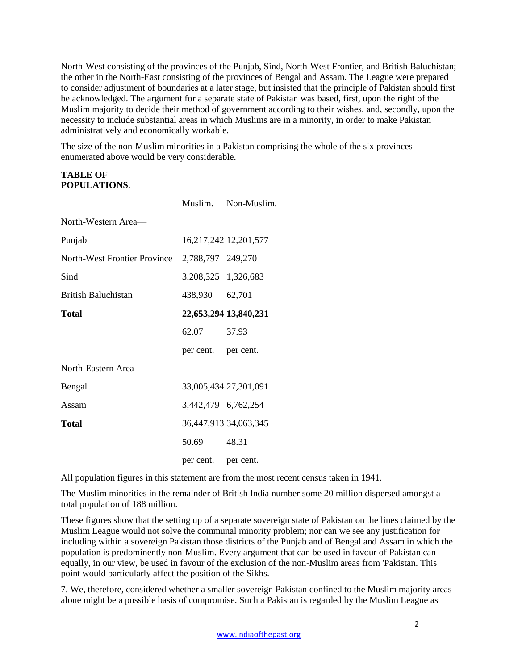North-West consisting of the provinces of the Punjab, Sind, North-West Frontier, and British Baluchistan; the other in the North-East consisting of the provinces of Bengal and Assam. The League were prepared to consider adjustment of boundaries at a later stage, but insisted that the principle of Pakistan should first be acknowledged. The argument for a separate state of Pakistan was based, first, upon the right of the Muslim majority to decide their method of government according to their wishes, and, secondly, upon the necessity to include substantial areas in which Muslims are in a minority, in order to make Pakistan administratively and economically workable.

The size of the non-Muslim minorities in a Pakistan comprising the whole of the six provinces enumerated above would be very considerable.

## **TABLE OF POPULATIONS**.

|                              | Muslim.             | Non-Muslim.               |
|------------------------------|---------------------|---------------------------|
| North-Western Area-          |                     |                           |
| Punjab                       |                     | 16, 217, 242 12, 201, 577 |
| North-West Frontier Province | 2,788,797 249,270   |                           |
| Sind                         | 3,208,325 1,326,683 |                           |
| <b>British Baluchistan</b>   | 438,930 62,701      |                           |
| <b>Total</b>                 |                     | 22,653,294 13,840,231     |
|                              | 62.07               | 37.93                     |
|                              | per cent. per cent. |                           |
| North-Eastern Area—          |                     |                           |
| Bengal                       |                     | 33,005,434 27,301,091     |
| Assam                        | 3,442,479 6,762,254 |                           |
| Total                        |                     | 36,447,913 34,063,345     |
|                              | 50.69               | 48.31                     |
|                              | per cent.           | per cent.                 |

All population figures in this statement are from the most recent census taken in 1941.

The Muslim minorities in the remainder of British India number some 20 million dispersed amongst a total population of 188 million.

These figures show that the setting up of a separate sovereign state of Pakistan on the lines claimed by the Muslim League would not solve the communal minority problem; nor can we see any justification for including within a sovereign Pakistan those districts of the Punjab and of Bengal and Assam in which the population is predominently non-Muslim. Every argument that can be used in favour of Pakistan can equally, in our view, be used in favour of the exclusion of the non-Muslim areas from 'Pakistan. This point would particularly affect the position of the Sikhs.

7. We, therefore, considered whether a smaller sovereign Pakistan confined to the Muslim majority areas alone might be a possible basis of compromise. Such a Pakistan is regarded by the Muslim League as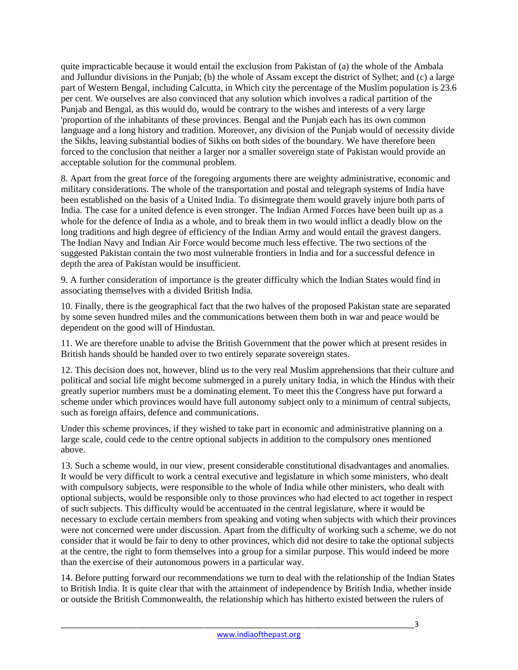quite impracticable because it would entail the exclusion from Pakistan of (a) the whole of the Ambala and Jullundur divisions in the Punjab; (b) the whole of Assam except the district of Sylhet; and (c) a large part of Western Bengal, including Calcutta, in Which city the percentage of the Muslim population is 23.6 per cent. We ourselves are also convinced that any solution which involves a radical partition of the Punjab and Bengal, as this would do, would be contrary to the wishes and interests of a very large 'proportion of the inhabitants of these provinces. Bengal and the Punjab each has its own common language and a long history and tradition. Moreover, any division of the Punjab would of necessity divide the Sikhs, leaving substantial bodies of Sikhs on both sides of the boundary. We have therefore been forced to the conclusion that neither a larger nor a smaller sovereign state of Pakistan would provide an acceptable solution for the communal problem.

8. Apart from the great force of the foregoing arguments there are weighty administrative, economic and military considerations. The whole of the transportation and postal and telegraph systems of India have been established on the basis of a United India. To disintegrate them would gravely injure both parts of India. The case for a united defence is even stronger. The Indian Armed Forces have been built up as a whole for the defence of India as a whole, and to break them in two would inflict a deadly blow on the long traditions and high degree of efficiency of the Indian Army and would entail the gravest dangers. The Indian Navy and Indian Air Force would become much less effective. The two sections of the suggested Pakistan contain the two most vulnerable frontiers in India and for a successful defence in depth the area of Pakistan would be insufficient.

9. A further consideration of importance is the greater difficulty which the Indian States would find in associating themselves with a divided British India.

10. Finally, there is the geographical fact that the two halves of the proposed Pakistan state are separated by some seven hundred miles and the communications between them both in war and peace would be dependent on the good will of Hindustan.

11. We are therefore unable to advise the British Government that the power which at present resides in British hands should be handed over to two entirely separate sovereign states.

12. This decision does not, however, blind us to the very real Muslim apprehensions that their culture and political and social life might become submerged in a purely unitary India, in which the Hindus with their greatly superior numbers must be a dominating element. To meet this the Congress have put forward a scheme under which provinces would have full autonomy subject only to a minimum of central subjects, such as foreign affairs, defence and communications.

Under this scheme provinces, if they wished to take part in economic and administrative planning on a large scale, could cede to the centre optional subjects in addition to the compulsory ones mentioned above.

13. Such a scheme would, in our view, present considerable constitutional disadvantages and anomalies. It would be very difficult to work a central executive and legislature in which some ministers, who dealt with compulsory subjects, were responsible to the whole of India while other ministers, who dealt with optional subjects, would be responsible only to those provinces who had elected to act together in respect of such subjects. This difficulty would be accentuated in the central legislature, where it would be necessary to exclude certain members from speaking and voting when subjects with which their provinces were not concerned were under discussion. Apart from the difficulty of working such a scheme, we do not consider that it would be fair to deny to other provinces, which did not desire to take the optional subjects at the centre, the right to form themselves into a group for a similar purpose. This would indeed be more than the exercise of their autonomous powers in a particular way.

14. Before putting forward our recommendations we turn to deal with the relationship of the Indian States to British India. It is quite clear that with the attainment of independence by British India, whether inside or outside the British Commonwealth, the relationship which has hitherto existed between the rulers of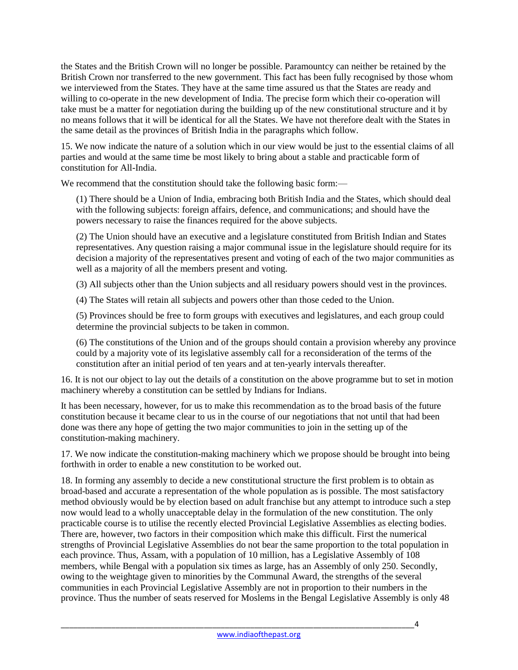the States and the British Crown will no longer be possible. Paramountcy can neither be retained by the British Crown nor transferred to the new government. This fact has been fully recognised by those whom we interviewed from the States. They have at the same time assured us that the States are ready and willing to co-operate in the new development of India. The precise form which their co-operation will take must be a matter for negotiation during the building up of the new constitutional structure and it by no means follows that it will be identical for all the States. We have not therefore dealt with the States in the same detail as the provinces of British India in the paragraphs which follow.

15. We now indicate the nature of a solution which in our view would be just to the essential claims of all parties and would at the same time be most likely to bring about a stable and practicable form of constitution for All-India.

We recommend that the constitution should take the following basic form:—

(1) There should be a Union of India, embracing both British India and the States, which should deal with the following subjects: foreign affairs, defence, and communications; and should have the powers necessary to raise the finances required for the above subjects.

(2) The Union should have an executive and a legislature constituted from British Indian and States representatives. Any question raising a major communal issue in the legislature should require for its decision a majority of the representatives present and voting of each of the two major communities as well as a majority of all the members present and voting.

(3) All subjects other than the Union subjects and all residuary powers should vest in the provinces.

(4) The States will retain all subjects and powers other than those ceded to the Union.

(5) Provinces should be free to form groups with executives and legislatures, and each group could determine the provincial subjects to be taken in common.

(6) The constitutions of the Union and of the groups should contain a provision whereby any province could by a majority vote of its legislative assembly call for a reconsideration of the terms of the constitution after an initial period of ten years and at ten-yearly intervals thereafter.

16. It is not our object to lay out the details of a constitution on the above programme but to set in motion machinery whereby a constitution can be settled by Indians for Indians.

It has been necessary, however, for us to make this recommendation as to the broad basis of the future constitution because it became clear to us in the course of our negotiations that not until that had been done was there any hope of getting the two major communities to join in the setting up of the constitution-making machinery.

17. We now indicate the constitution-making machinery which we propose should be brought into being forthwith in order to enable a new constitution to be worked out.

18. In forming any assembly to decide a new constitutional structure the first problem is to obtain as broad-based and accurate a representation of the whole population as is possible. The most satisfactory method obviously would be by election based on adult franchise but any attempt to introduce such a step now would lead to a wholly unacceptable delay in the formulation of the new constitution. The only practicable course is to utilise the recently elected Provincial Legislative Assemblies as electing bodies. There are, however, two factors in their composition which make this difficult. First the numerical strengths of Provincial Legislative Assemblies do not bear the same proportion to the total population in each province. Thus, Assam, with a population of 10 million, has a Legislative Assembly of 108 members, while Bengal with a population six times as large, has an Assembly of only 250. Secondly, owing to the weightage given to minorities by the Communal Award, the strengths of the several communities in each Provincial Legislative Assembly are not in proportion to their numbers in the province. Thus the number of seats reserved for Moslems in the Bengal Legislative Assembly is only 48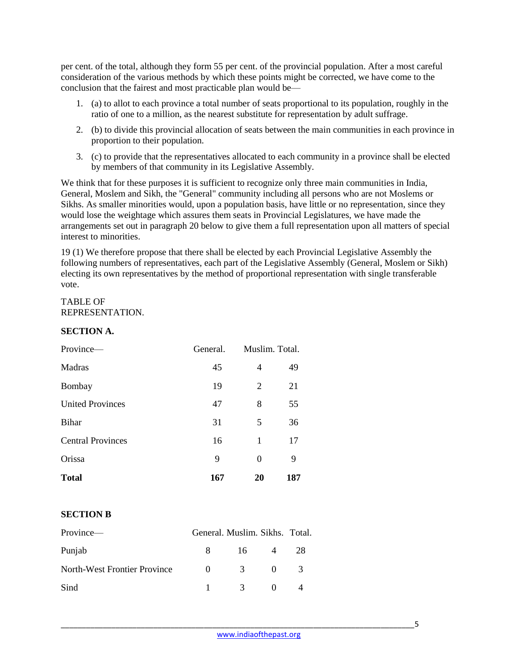per cent. of the total, although they form 55 per cent. of the provincial population. After a most careful consideration of the various methods by which these points might be corrected, we have come to the conclusion that the fairest and most practicable plan would be—

- 1. (a) to allot to each province a total number of seats proportional to its population, roughly in the ratio of one to a million, as the nearest substitute for representation by adult suffrage.
- 2. (b) to divide this provincial allocation of seats between the main communities in each province in proportion to their population.
- 3. (c) to provide that the representatives allocated to each community in a province shall be elected by members of that community in its Legislative Assembly.

We think that for these purposes it is sufficient to recognize only three main communities in India, General, Moslem and Sikh, the "General" community including all persons who are not Moslems or Sikhs. As smaller minorities would, upon a population basis, have little or no representation, since they would lose the weightage which assures them seats in Provincial Legislatures, we have made the arrangements set out in paragraph 20 below to give them a full representation upon all matters of special interest to minorities.

19 (1) We therefore propose that there shall be elected by each Provincial Legislative Assembly the following numbers of representatives, each part of the Legislative Assembly (General, Moslem or Sikh) electing its own representatives by the method of proportional representation with single transferable vote.

#### TABLE OF REPRESENTATION.

## **SECTION A.**

| Province—                | General. | Muslim. Total. |     |
|--------------------------|----------|----------------|-----|
| Madras                   | 45       | 4              | 49  |
| Bombay                   | 19       | 2              | 21  |
| <b>United Provinces</b>  | 47       | 8              | 55  |
| <b>Bihar</b>             | 31       | 5              | 36  |
| <b>Central Provinces</b> | 16       | 1              | 17  |
| Orissa                   | 9        | $\Omega$       | 9   |
| <b>Total</b>             | 167      | 20             | 187 |

## **SECTION B**

| Province—                    |          | General. Muslim. Sikhs. Total. |                |               |
|------------------------------|----------|--------------------------------|----------------|---------------|
| Punjab                       | 8.       | 16                             | $\overline{4}$ | -28           |
| North-West Frontier Province | $\Omega$ | $\mathcal{E}$                  |                | $\mathcal{R}$ |
| Sind                         |          | $\overline{\mathbf{3}}$        |                |               |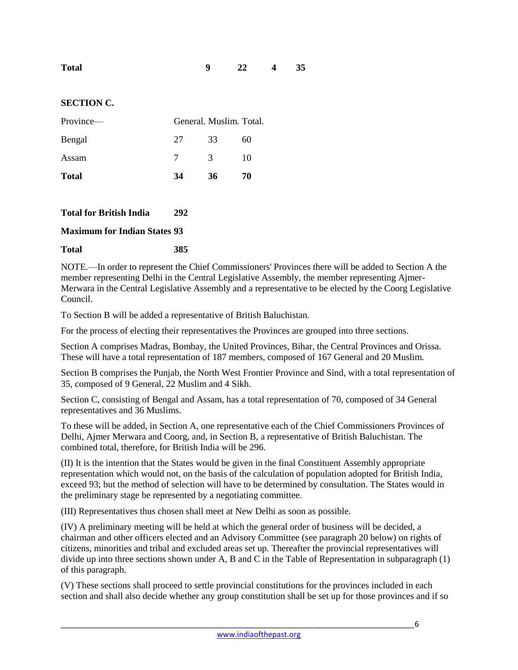| <b>Total</b> |  | 35 |
|--------------|--|----|
|              |  |    |

## **SECTION C.**

| <b>Total</b> | 34 | 36                      | 70 |
|--------------|----|-------------------------|----|
| Assam        | 7  | $\mathcal{R}$           | 10 |
| Bengal       | 27 | 33                      | 60 |
| Province—    |    | General, Muslim. Total. |    |

## **Total for British India 292**

## **Maximum for Indian States 93**

## **Total 385**

NOTE.—In order to represent the Chief Commissioners' Provinces there will be added to Section A the member representing Delhi in the Central Legislative Assembly, the member representing Ajmer-Merwara in the Central Legislative Assembly and a representative to be elected by the Coorg Legislative Council.

To Section B will be added a representative of British Baluchistan.

For the process of electing their representatives the Provinces are grouped into three sections.

Section A comprises Madras, Bombay, the United Provinces, Bihar, the Central Provinces and Orissa. These will have a total representation of 187 members, composed of 167 General and 20 Muslim.

Section B comprises the Punjab, the North West Frontier Province and Sind, with a total representation of 35, composed of 9 General, 22 Muslim and 4 Sikh.

Section C, consisting of Bengal and Assam, has a total representation of 70, composed of 34 General representatives and 36 Muslims.

To these will be added, in Section A, one representative each of the Chief Commissioners Provinces of Delhi, Ajmer Merwara and Coorg, and, in Section B, a representative of British Baluchistan. The combined total, therefore, for British India will be 296.

(II) It is the intention that the States would be given in the final Constituent Assembly appropriate representation which would not, on the basis of the calculation of population adopted for British India, exceed 93; but the method of selection will have to be determined by consultation. The States would in the preliminary stage be represented by a negotiating committee.

(III) Representatives thus chosen shall meet at New Delhi as soon as possible.

(IV) A preliminary meeting will be held at which the general order of business will be decided, a chairman and other officers elected and an Advisory Committee (see paragraph 20 below) on rights of citizens, minorities and tribal and excluded areas set up. Thereafter the provincial representatives will divide up into three sections shown under A, B and C in the Table of Representation in subparagraph (1) of this paragraph.

(V) These sections shall proceed to settle provincial constitutions for the provinces included in each section and shall also decide whether any group constitution shall be set up for those provinces and if so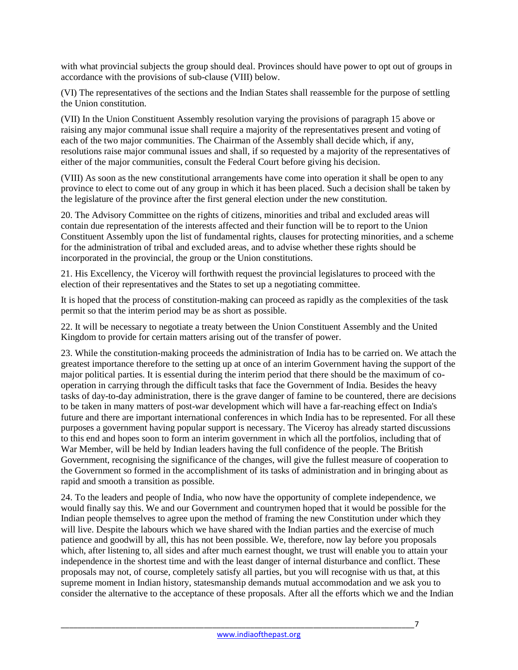with what provincial subjects the group should deal. Provinces should have power to opt out of groups in accordance with the provisions of sub-clause (VIII) below.

(VI) The representatives of the sections and the Indian States shall reassemble for the purpose of settling the Union constitution.

(VII) In the Union Constituent Assembly resolution varying the provisions of paragraph 15 above or raising any major communal issue shall require a majority of the representatives present and voting of each of the two major communities. The Chairman of the Assembly shall decide which, if any, resolutions raise major communal issues and shall, if so requested by a majority of the representatives of either of the major communities, consult the Federal Court before giving his decision.

(VIII) As soon as the new constitutional arrangements have come into operation it shall be open to any province to elect to come out of any group in which it has been placed. Such a decision shall be taken by the legislature of the province after the first general election under the new constitution.

20. The Advisory Committee on the rights of citizens, minorities and tribal and excluded areas will contain due representation of the interests affected and their function will be to report to the Union Constituent Assembly upon the list of fundamental rights, clauses for protecting minorities, and a scheme for the administration of tribal and excluded areas, and to advise whether these rights should be incorporated in the provincial, the group or the Union constitutions.

21. His Excellency, the Viceroy will forthwith request the provincial legislatures to proceed with the election of their representatives and the States to set up a negotiating committee.

It is hoped that the process of constitution-making can proceed as rapidly as the complexities of the task permit so that the interim period may be as short as possible.

22. It will be necessary to negotiate a treaty between the Union Constituent Assembly and the United Kingdom to provide for certain matters arising out of the transfer of power.

23. While the constitution-making proceeds the administration of India has to be carried on. We attach the greatest importance therefore to the setting up at once of an interim Government having the support of the major political parties. It is essential during the interim period that there should be the maximum of cooperation in carrying through the difficult tasks that face the Government of India. Besides the heavy tasks of day-to-day administration, there is the grave danger of famine to be countered, there are decisions to be taken in many matters of post-war development which will have a far-reaching effect on India's future and there are important international conferences in which India has to be represented. For all these purposes a government having popular support is necessary. The Viceroy has already started discussions to this end and hopes soon to form an interim government in which all the portfolios, including that of War Member, will be held by Indian leaders having the full confidence of the people. The British Government, recognising the significance of the changes, will give the fullest measure of cooperation to the Government so formed in the accomplishment of its tasks of administration and in bringing about as rapid and smooth a transition as possible.

24. To the leaders and people of India, who now have the opportunity of complete independence, we would finally say this. We and our Government and countrymen hoped that it would be possible for the Indian people themselves to agree upon the method of framing the new Constitution under which they will live. Despite the labours which we have shared with the Indian parties and the exercise of much patience and goodwill by all, this has not been possible. We, therefore, now lay before you proposals which, after listening to, all sides and after much earnest thought, we trust will enable you to attain your independence in the shortest time and with the least danger of internal disturbance and conflict. These proposals may not, of course, completely satisfy all parties, but you will recognise with us that, at this supreme moment in Indian history, statesmanship demands mutual accommodation and we ask you to consider the alternative to the acceptance of these proposals. After all the efforts which we and the Indian

\_\_\_\_\_\_\_\_\_\_\_\_\_\_\_\_\_\_\_\_\_\_\_\_\_\_\_\_\_\_\_\_\_\_\_\_\_\_\_\_\_\_\_\_\_\_\_\_\_\_\_\_\_\_\_\_\_\_\_\_\_\_\_\_\_\_\_\_\_\_\_\_\_\_\_\_\_\_\_\_\_\_\_\_7